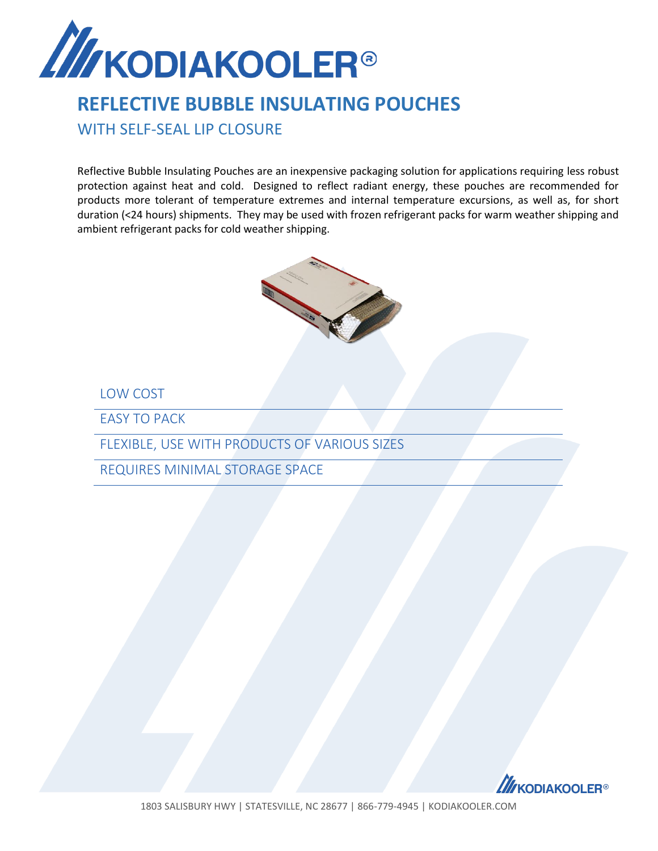

## **REFLECTIVE BUBBLE INSULATING POUCHES**

WITH SELF-SEAL LIP CLOSURE

Reflective Bubble Insulating Pouches are an inexpensive packaging solution for applications requiring less robust protection against heat and cold. Designed to reflect radiant energy, these pouches are recommended for products more tolerant of temperature extremes and internal temperature excursions, as well as, for short duration (<24 hours) shipments. They may be used with frozen refrigerant packs for warm weather shipping and ambient refrigerant packs for cold weather shipping.



LOW COST

EASY TO PACK

FLEXIBLE, USE WITH PRODUCTS OF VARIOUS SIZES

REQUIRES MINIMAL STORAGE SPACE



1803 SALISBURY HWY | STATESVILLE, NC 28677 | 866-779-4945 | KODIAKOOLER.COM